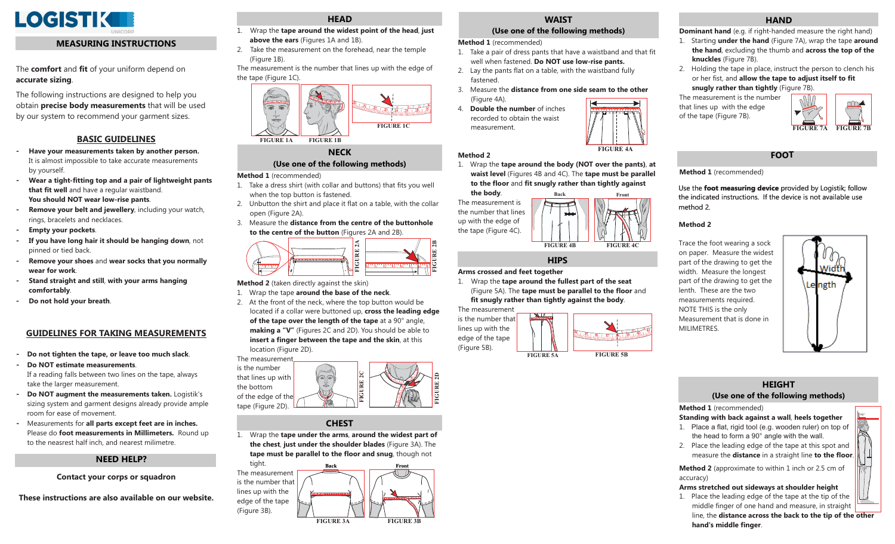

## **MEASURING INSTRUCTIONS**

The **comfort** and **fit** of your uniform depend on **accurate sizing**.

The following instructions are designed to help you obtain **precise body measurements** that will be used by our system to recommend your garment sizes.

# **BASIC GUIDELINES**

- **Have your measurements taken by another person.** It is almost impossible to take accurate measurements by yourself.
- **Wear a tight-fitting top and a pair of lightweight pants that fit well** and have a regular waistband. **You should NOT wear low-rise pants**.
- **Remove your belt and jewellery**, including your watch, rings, bracelets and necklaces.
- **Empty your pockets**.
- **- If you have long hair it should be hanging down**, not pinned or tied back.
- **Remove your shoes** and wear socks that you normally **wear for work**.
- **Stand straight and still with your arms hanging** , **comfortably**.
- **Do not hold your breath**.

## **GUIDELINES FOR TAKING MEASUREMENTS**

- **- Do not tighten the tape, or leave too much slack**.
- **Do NOT estimate measurements**. If a reading falls between two lines on the tape, alwaystake the larger measurement.
- **- Do NOT augment the measurements taken.** Logistik's sizing system and garment designs already provide ampleroom for ease of movement.
- **-** Measurements for **all parts except feet are in inches.** Please do **foot measurements in Millimeters.** Round upto the neasrest half inch, and nearest milimetre.

# **NEED HELP?**

## **Contact your corps or squadron**

**These instructions are also available on our website.**

# **HEAD**

- 1. Wrap the **tape around the widest point of the head**, just **above the ears** (Figures 1A and 1B).
- 2. Take the measurement on the forehead, near the temple (Figure 1B).
- The measurement is the number that lines up with the edge of the tape (Figure 1C).



# **NECK**

# **(Use one of the following methods)**

#### **Method 1** (recommended)

- 1. Take a dress shirt (with collar and buttons) that fits you well when the top button is fastened.
- 2. Unbutton the shirt and place it flat on a table, with the collar open (Figure 2A).
- 3. Measure the **distance from the centre of the buttonholeto the centre of the button** (Figures 2A and 2B).



- **Method 2** (taken directly against the skin)
- 1. Wrap the tape **around the base of the neck**.
- 2. At the front of the neck, where the top button would be located if a collar were buttoned up, **cross the leading edge of the tape over the length of the tape** at a 90° angle, **making a "V"** (Figures 2C and 2D). You should be able to **insert a finger between the tape and the skin**, at this location (Figure 2D).

The measurement



## **CHEST**

1. Wrap the **tape under the arms**, around the widest part of the chest, just under the shoulder blades (Figure 3A). The **tape must be parallel to the floor and snug**, though not



# **WAIST**

# **(Use one of the following methods)**

**Method 1** (recommended)

**Method 2**

- 1. Take a pair of dress pants that have a waistband and that fit well when fastened. **Do NOT use low-rise pants.**
- 2. Lay the pants flat on a table, with the waistband fully fastened.
- 3. Measure the **distance from one side seam to the other** (Figure 4A).
- 4. **Double the number** of inchesrecorded to obtain the waistmeasurement.. . . . . . . . . . . . . . . .



1. Wrap the **tape around the body (NOT over the pants)**, at **waist level** (Figures 4B and 4C). The **tape must be parallel to the floor and fit snugly rather than tightly against the body**.



## **Arms crossed and feet together**

1. Wrap the **tape around the fullest part of the seat** (Figure 5A). The **tape must be parallel to the floor** and **fit snugly rather than tightly against the body**.

The measurement

# **HIPS**

- -



## **HAND**

- **Dominant hand** (e.g. if right-handed measure the right hand)
- 1. Starting **under the hand** (Figure 7A), wrap the tape around **the hand**, excluding the thumb and **across the top of the knuckles** (Figure 7B).
- 2. Holding the tape in place, instruct the person to clench his or her fist, and **allow the tape to adjust itself to fit snugly rather than tightly** (Figure 7B).

The measurement is the numberthat lines up with the edge of the tape (Figure 7B).



**FOOT**

**Method 1** (recommended)

Use the **foot measuring device** provided by Logistik; follow the indicated instructions. If the device is not available use method 2.

## **Method 2**

Trace the foot wearing a sock on paper. Measure the widest part of the drawing to get the width. Measure the longest part of the drawing to get the lenth. These are the two measurements required. NOTE THIS is the only Measurement that is done in MILIMETRES.



90°

# **HEIGHT(Use one of the following methods)**

#### **Method 1** (recommended)

**Standing with back against a wall, heels together** 

- 1. Place a flat, rigid tool (e.g. wooden ruler) on top of the head to form a  $90^\circ$  angle with the wall.
- 2. Place the leading edge of the tape at this spot and measure the **distance** in a straight line **to the floor**.

**Method 2** (approximate to within 1 inch or 2.5 cm of accuracy)

## **Arms stretched out sideways at shoulder height**

1. Place the leading edge of the tape at the tip of the middle finger of one hand and measure, in straight line, the **distance across the back to the tip of the other hand's middle finger**.



18